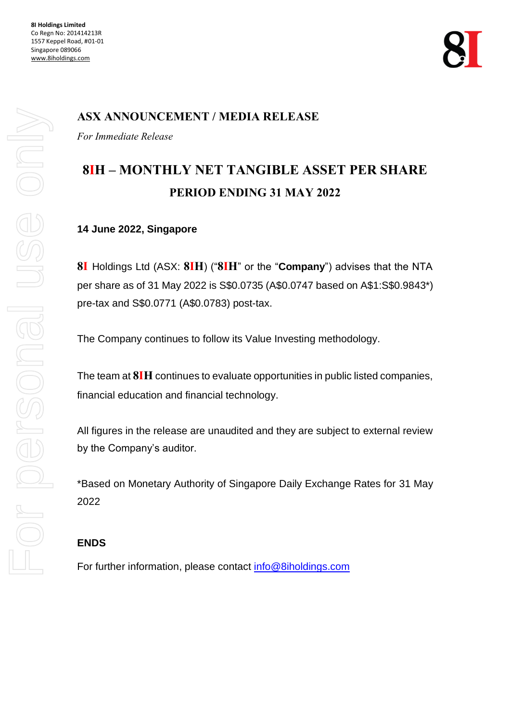**8I Holdings Limited** Co Regn No: 201414213R 1557 Keppel Road, #01-01 Singapore 089066 [www.8iholdings.com](http://www.8iholdings.com/)



# **ASX ANNOUNCEMENT / MEDIA RELEASE**

*For Immediate Release* 

# **8IH – MONTHLY NET TANGIBLE ASSET PER SHARE PERIOD ENDING 31 MAY 2022**

#### **14 June 2022, Singapore**

**8I** Holdings Ltd (ASX: **8IH**) ("**8IH**" or the "**Company**") advises that the NTA per share as of 31 May 2022 is S\$0.0735 (A\$0.0747 based on A\$1:S\$0.9843\*) pre-tax and S\$0.0771 (A\$0.0783) post-tax.

The Company continues to follow its Value Investing methodology.

The team at **8IH** continues to evaluate opportunities in public listed companies, financial education and financial technology.

All figures in the release are unaudited and they are subject to external review by the Company's auditor.

\*Based on Monetary Authority of Singapore Daily Exchange Rates for 31 May 2022

## **ENDS**

For further information, please contact [info@8iholdings.com](mailto:info@8iholdings.com)